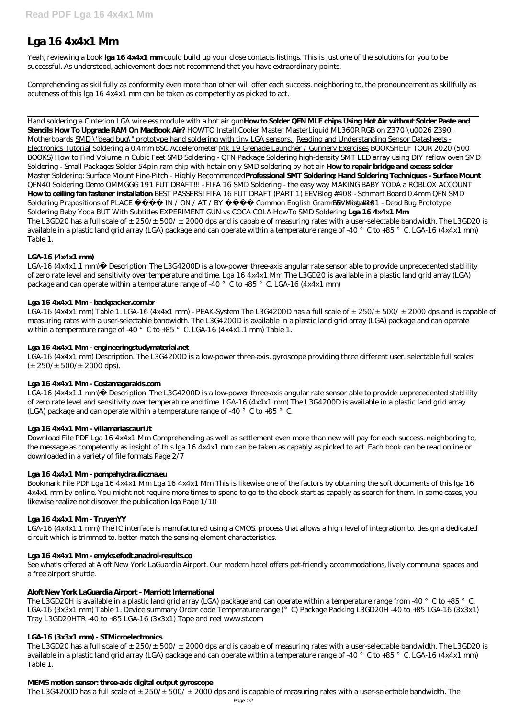# **Lga 16 4x4x1 Mm**

Yeah, reviewing a book **lga 16 4x4x1 mm** could build up your close contacts listings. This is just one of the solutions for you to be successful. As understood, achievement does not recommend that you have extraordinary points.

Comprehending as skillfully as conformity even more than other will offer each success. neighboring to, the pronouncement as skillfully as acuteness of this lga 16 4x4x1 mm can be taken as competently as picked to act.

LGA-16 (4x4x1.1 mm) Description: The L3G4200D is a low-power three-axis angular rate sensor able to provide unprecedented stablility of zero rate level and sensitivity over temperature and time. Lga 16 4x4x1 Mm The L3GD20 is available in a plastic land grid array (LGA) package and can operate within a temperature range of -40  $^{\circ}$  C to +85  $^{\circ}$  C. LGA-16 (4x4x1 mm)

# Lga 16 4x4x1 Mm-backpacker.combr

LGA-16 (4x4x1 mm) Table 1. LGA-16 (4x4x1 mm) - PEAK-System The L3G4200D has a full scale of  $\pm 250/\pm 500/\pm 2000$  dps and is capable of measuring rates with a user-selectable bandwidth. The L3G4200D is available in a plastic land grid array (LGA) package and can operate within a temperature range of -40  $^{\circ}$  C to +85  $^{\circ}$  C. LGA-16 (4x4x1.1 mm) Table 1.

Hand soldering a Cinterion LGA wireless module with a hot air gun**How to Solder QFN MLF chips Using Hot Air without Solder Paste and Stencils How To Upgrade RAM On MacBook Air?** HOWTO Install Cooler Master MasterLiquid ML360R RGB on Z370 \u0026 Z390 Motherboards SMD \"dead bug\" prototype hand soldering with tiny LGA sensors. Reading and Understanding Sensor Datasheets - Electronics Tutorial Soldering a 0.4mm BSC Accelerometer Mk 19 Grenade Launcher / Gunnery Exercises *BOOKSHELF TOUR 2020 (500 BOOKS) How to Find Volume in Cubic Feet* SMD Soldering - QFN Package *Soldering high-density SMT LED array using DIY reflow oven* SMD Soldering - Small Packages Solder 54pin ram chip with hotair only SMD soldering by hot air **How to repair bridge and excess solder** Master Soldering: Surface Mount Fine-Pitch - Highly Recommended**Professional SMT Soldering: Hand Soldering Techniques - Surface Mount** QFN40 Soldering Demo *OMMGGG 191 FUT DRAFT!!! - FIFA 16* SMD Soldering - the easy way *MAKING BABY YODA a ROBLOX ACCOUNT* **How to ceiling fan fastener installation** *BEST PASSERS! FIFA 16 FUT DRAFT (PART 1) EEVBlog #408 - Schmart Board 0.4mm QFN SMD Soldering Prepositions of PLACE IN / ON / AT / BY Common English Grammar Mistakes* blog #181 - Dead Bug Prototype Soldering Baby Yoda BUT With Subtitles EXPERIMENT GUN vs COCA COLA HowTo SMD Soldering **Lga 16 4x4x1 Mm** The L3GD20 has a full scale of  $\pm$  250/ $\pm$  500/ $\pm$  2000 dps and is capable of measuring rates with a user-selectable bandwidth. The L3GD20 is available in a plastic land grid array (LGA) package and can operate within a temperature range of -40 °C to +85 °C. LGA-16 (4x4x1 mm) Table 1.

LGA-16 (4x4x1 mm) Description. The L3G4200D is a low-power three-axis. gyroscope providing three different user. selectable full scales  $(\pm 250/\pm 500/\pm 2000 \text{ dps})$ .

LGA-16 (4x4x1.1 mm) Description: The L3G4200D is a low-power three-axis angular rate sensor able to provide unprecedented stablility of zero rate level and sensitivity over temperature and time. LGA-16 (4x4x1 mm) The L3G4200D is available in a plastic land grid array (LGA) package and can operate within a temperature range of -40  $^{\circ}$  C to +85  $^{\circ}$  C.

# **LGA-16 (4x4x1 mm)**

The L3GD20H is available in a plastic land grid array (LGA) package and can operate within a temperature range from -40 °C to +85 °C. LGA-16 (3x3x1 mm) Table 1. Device summary Order code Temperature range (°C) Package Packing L3GD20H -40 to +85 LGA-16 (3x3x1) Tray L3GD20HTR -40 to +85 LGA-16 (3x3x1) Tape and reel www.st.com

The L3GD20 has a full scale of  $\pm$  250/ $\pm$  500/ $\pm$  2000 dps and is capable of measuring rates with a user-selectable bandwidth. The L3GD20 is available in a plastic land grid array (LGA) package and can operate within a temperature range of -40  $^{\circ}$  C to +85  $^{\circ}$  C. LGA-16 (4x4x1 mm) Table 1.

# **Lga 16 4x4x1 Mm - engineeringstudymaterial.net**

# **Lga 16 4x4x1 Mm - Costamagarakis.com**

## **Lga 16 4x4x1 Mm - villamariascauri.it**

Download File PDF Lga 16 4x4x1 Mm Comprehending as well as settlement even more than new will pay for each success. neighboring to, the message as competently as insight of this lga 16 4x4x1 mm can be taken as capably as picked to act. Each book can be read online or downloaded in a variety of file formats Page 2/7

## **Lga 16 4x4x1 Mm - pompahydrauliczna.eu**

Bookmark File PDF Lga 16 4x4x1 Mm Lga 16 4x4x1 Mm This is likewise one of the factors by obtaining the soft documents of this lga 16 4x4x1 mm by online. You might not require more times to spend to go to the ebook start as capably as search for them. In some cases, you likewise realize not discover the publication lga Page 1/10

# **Lga 16 4x4x1 Mm - TruyenYY**

LGA-16 (4x4x1.1 mm) The IC interface is manufactured using a CMOS. process that allows a high level of integration to. design a dedicated circuit which is trimmed to. better match the sensing element characteristics.

#### **Lga 16 4x4x1 Mm - emyks.efodt.anadrol-results.co**

See what's offered at Aloft New York LaGuardia Airport. Our modern hotel offers pet-friendly accommodations, lively communal spaces and a free airport shuttle.

#### **Aloft New York LaGuardia Airport - Marriott International**

#### **LGA-16 (3x3x1 mm) - STMicroelectronics**

## **MEMS motion sensor: three-axis digital output gyroscope**

The L3G4200D has a full scale of  $\pm 250/\pm 500/\pm 2000$  dps and is capable of measuring rates with a user-selectable bandwidth. The